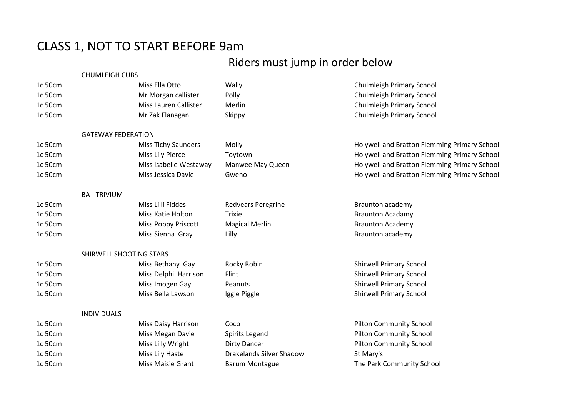## CLASS 1, NOT TO START BEFORE 9am

## Riders must jump in order below

|         | <b>CHUMLEIGH CUBS</b>     |                            |                                 |                                              |
|---------|---------------------------|----------------------------|---------------------------------|----------------------------------------------|
| 1c 50cm |                           | Miss Ella Otto             | Wally                           | Chulmleigh Primary School                    |
| 1c 50cm |                           | Mr Morgan callister        | Polly                           | Chulmleigh Primary School                    |
| 1c 50cm |                           | Miss Lauren Callister      | Merlin                          | Chulmleigh Primary School                    |
| 1c 50cm |                           | Mr Zak Flanagan            | Skippy                          | Chulmleigh Primary School                    |
|         | <b>GATEWAY FEDERATION</b> |                            |                                 |                                              |
| 1c 50cm |                           | <b>Miss Tichy Saunders</b> | Molly                           | Holywell and Bratton Flemming Primary School |
| 1c 50cm |                           | Miss Lily Pierce           | Toytown                         | Holywell and Bratton Flemming Primary School |
| 1c 50cm |                           | Miss Isabelle Westaway     | Manwee May Queen                | Holywell and Bratton Flemming Primary School |
| 1c 50cm |                           | Miss Jessica Davie         | Gweno                           | Holywell and Bratton Flemming Primary School |
|         | <b>BA - TRIVIUM</b>       |                            |                                 |                                              |
| 1c 50cm |                           | Miss Lilli Fiddes          | <b>Redvears Peregrine</b>       | <b>Braunton academy</b>                      |
| 1c 50cm |                           | Miss Katie Holton          | Trixie                          | <b>Braunton Acadamy</b>                      |
| 1c 50cm |                           | <b>Miss Poppy Priscott</b> | <b>Magical Merlin</b>           | <b>Braunton Academy</b>                      |
| 1c 50cm |                           | Miss Sienna Gray           | Lilly                           | Braunton academy                             |
|         | SHIRWELL SHOOTING STARS   |                            |                                 |                                              |
| 1c 50cm |                           | Miss Bethany Gay           | Rocky Robin                     | <b>Shirwell Primary School</b>               |
| 1c 50cm |                           | Miss Delphi Harrison       | Flint                           | <b>Shirwell Primary School</b>               |
| 1c 50cm |                           | Miss Imogen Gay            | Peanuts                         | <b>Shirwell Primary School</b>               |
| 1c 50cm |                           | Miss Bella Lawson          | Iggle Piggle                    | <b>Shirwell Primary School</b>               |
|         | <b>INDIVIDUALS</b>        |                            |                                 |                                              |
| 1c 50cm |                           | <b>Miss Daisy Harrison</b> | Coco                            | <b>Pilton Community School</b>               |
| 1c 50cm |                           | Miss Megan Davie           | Spirits Legend                  | <b>Pilton Community School</b>               |
| 1c 50cm |                           | Miss Lilly Wright          | <b>Dirty Dancer</b>             | <b>Pilton Community School</b>               |
| 1c 50cm |                           | Miss Lily Haste            | <b>Drakelands Silver Shadow</b> | St Mary's                                    |
| 1c 50cm |                           | <b>Miss Maisie Grant</b>   | <b>Barum Montague</b>           | The Park Community School                    |
|         |                           |                            |                                 |                                              |